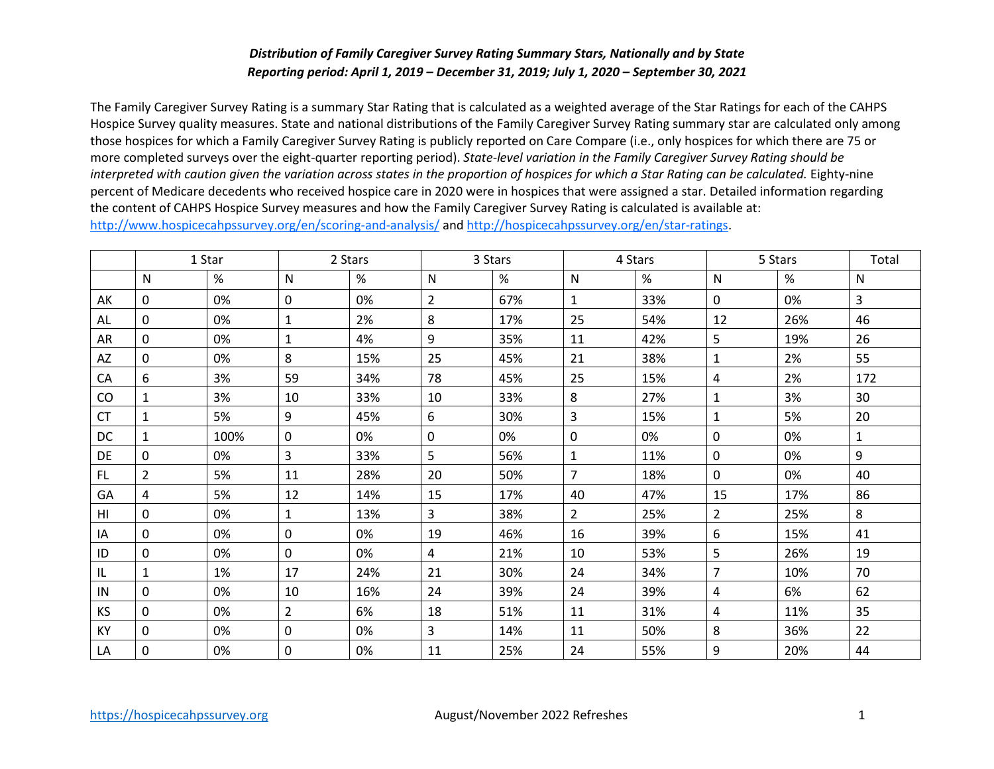## *Distribution of Family Caregiver Survey Rating Summary Stars, Nationally and by State Reporting period: April 1, 2019 – December 31, 2019; July 1, 2020 – September 30, 2021*

 The Family Caregiver Survey Rating is a summary Star Rating that is calculated as a weighted average of the Star Ratings for each of the CAHPS those hospices for which a Family Caregiver Survey Rating is publicly reported on Care Compare (i.e., only hospices for which there are 75 or percent of Medicare decedents who received hospice care in 2020 were in hospices that were assigned a star. Detailed information regarding the content of CAHPS Hospice Survey measures and how the Family Caregiver Survey Rating is calculated is available at: Hospice Survey quality measures. State and national distributions of the Family Caregiver Survey Rating summary star are calculated only among more completed surveys over the eight-quarter reporting period). *State-level variation in the Family Caregiver Survey Rating should be*  interpreted with caution given the variation across states in the proportion of hospices for which a Star Rating can be calculated. Eighty-nine [http://www.hospicecahpssurvey.org/en/scoring-and-analysis/ a](http://www.hospicecahpssurvey.org/en/public-reporting/scoring-and-analysis/)nd [http://hospicecahpssurvey.org/en/star-ratings.](http://hospicecahpssurvey.org/en/public-reporting/star-ratings)

|                | 1 Star         |      | 2 Stars        |     | 3 Stars        |     | 4 Stars        |     | 5 Stars        |     | Total        |
|----------------|----------------|------|----------------|-----|----------------|-----|----------------|-----|----------------|-----|--------------|
|                | $\mathsf{N}$   | $\%$ | N              | %   | $\mathsf{N}$   | %   | $\mathsf{N}$   | %   | $\mathsf{N}$   | %   | ${\sf N}$    |
| AK             | $\mathbf 0$    | 0%   | $\mathbf 0$    | 0%  | $\overline{2}$ | 67% | $\mathbf{1}$   | 33% | $\mathbf 0$    | 0%  | 3            |
| AL             | $\mathbf 0$    | 0%   | $\mathbf{1}$   | 2%  | 8              | 17% | 25             | 54% | 12             | 26% | 46           |
| AR             | $\mathbf 0$    | 0%   | $\mathbf{1}$   | 4%  | 9              | 35% | 11             | 42% | 5              | 19% | 26           |
| AZ             | $\mathbf 0$    | 0%   | 8              | 15% | 25             | 45% | 21             | 38% | $\mathbf{1}$   | 2%  | 55           |
| CA             | 6              | 3%   | 59             | 34% | 78             | 45% | 25             | 15% | 4              | 2%  | 172          |
| $\rm CO$       | $\mathbf{1}$   | 3%   | 10             | 33% | 10             | 33% | 8              | 27% | $\mathbf{1}$   | 3%  | 30           |
| <b>CT</b>      | $\mathbf{1}$   | 5%   | 9              | 45% | 6              | 30% | 3              | 15% | $\mathbf{1}$   | 5%  | 20           |
| <b>DC</b>      | $\mathbf{1}$   | 100% | $\mathbf 0$    | 0%  | 0              | 0%  | 0              | 0%  | $\mathbf 0$    | 0%  | $\mathbf{1}$ |
| DE             | 0              | 0%   | $\mathbf{3}$   | 33% | 5              | 56% | 1              | 11% | 0              | 0%  | 9            |
| FL.            | $\overline{2}$ | 5%   | 11             | 28% | 20             | 50% | $\overline{7}$ | 18% | $\mathbf 0$    | 0%  | 40           |
| GA             | 4              | 5%   | 12             | 14% | 15             | 17% | 40             | 47% | 15             | 17% | 86           |
| H <sub>l</sub> | $\mathbf 0$    | 0%   | $\mathbf{1}$   | 13% | $\overline{3}$ | 38% | $\overline{2}$ | 25% | $\overline{2}$ | 25% | 8            |
| IA             | $\mathbf 0$    | 0%   | $\mathbf 0$    | 0%  | 19             | 46% | 16             | 39% | 6              | 15% | 41           |
| ID             | $\mathbf 0$    | 0%   | $\mathbf 0$    | 0%  | 4              | 21% | 10             | 53% | 5              | 26% | 19           |
| IL             | 1              | 1%   | 17             | 24% | 21             | 30% | 24             | 34% | $\overline{7}$ | 10% | 70           |
| IN             | $\mathbf 0$    | 0%   | 10             | 16% | 24             | 39% | 24             | 39% | 4              | 6%  | 62           |
| KS             | 0              | 0%   | $\overline{2}$ | 6%  | 18             | 51% | 11             | 31% | 4              | 11% | 35           |
| KY             | $\mathbf{0}$   | 0%   | 0              | 0%  | 3              | 14% | 11             | 50% | 8              | 36% | 22           |
| LA             | 0              | 0%   | $\mathbf 0$    | 0%  | 11             | 25% | 24             | 55% | 9              | 20% | 44           |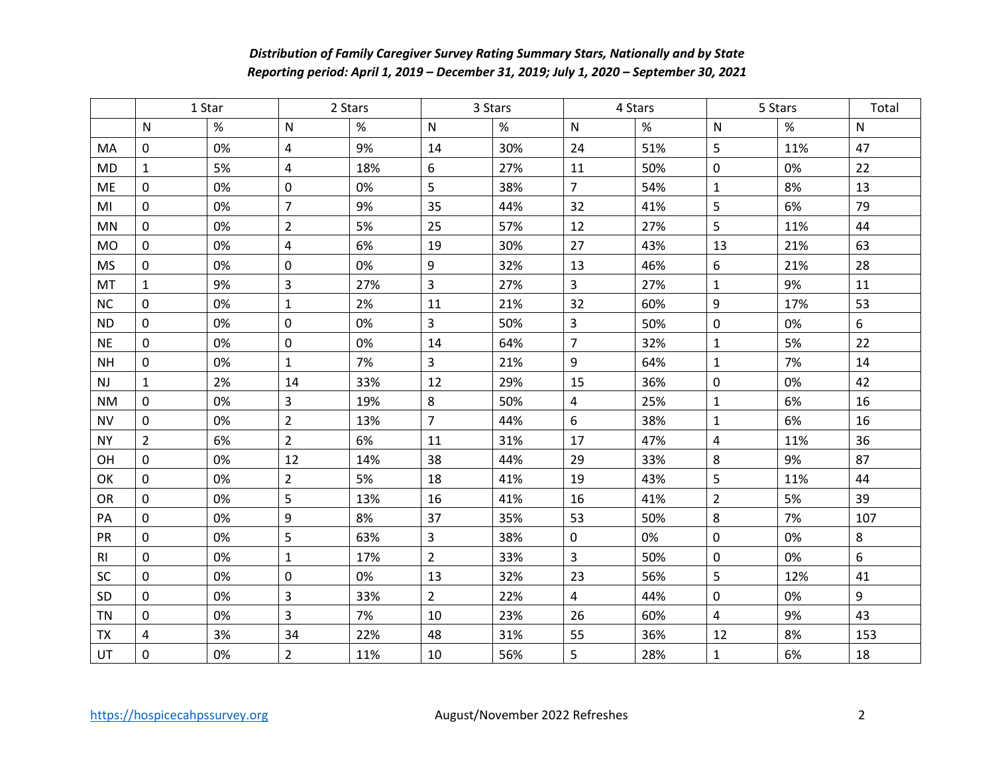## *Distribution of Family Caregiver Survey Rating Summary Stars, Nationally and by State Reporting period: April 1, 2019 – December 31, 2019; July 1, 2020 – September 30, 2021*

|                | 1 Star         |      | 2 Stars                 |      | 3 Stars                 |     | 4 Stars        |      | 5 Stars                 |     | Total |
|----------------|----------------|------|-------------------------|------|-------------------------|-----|----------------|------|-------------------------|-----|-------|
|                | N              | $\%$ | ${\sf N}$               | $\%$ | N                       | %   | N              | $\%$ | N                       | %   | N     |
| MA             | 0              | 0%   | $\overline{\mathbf{4}}$ | 9%   | 14                      | 30% | 24             | 51%  | 5                       | 11% | 47    |
| <b>MD</b>      | $\mathbf{1}$   | 5%   | 4                       | 18%  | 6                       | 27% | 11             | 50%  | $\mathbf 0$             | 0%  | 22    |
| <b>ME</b>      | 0              | 0%   | 0                       | 0%   | 5                       | 38% | $\overline{7}$ | 54%  | $\mathbf{1}$            | 8%  | 13    |
| MI             | 0              | 0%   | $\overline{7}$          | 9%   | 35                      | 44% | 32             | 41%  | 5                       | 6%  | 79    |
| <b>MN</b>      | $\mathbf 0$    | 0%   | $\overline{2}$          | 5%   | 25                      | 57% | 12             | 27%  | 5                       | 11% | 44    |
| <b>MO</b>      | 0              | 0%   | 4                       | 6%   | 19                      | 30% | 27             | 43%  | 13                      | 21% | 63    |
| <b>MS</b>      | $\mathbf 0$    | 0%   | $\mathbf 0$             | 0%   | 9                       | 32% | 13             | 46%  | 6                       | 21% | 28    |
| MT             | $\mathbf{1}$   | 9%   | $\overline{\mathbf{3}}$ | 27%  | $\overline{3}$          | 27% | $\overline{3}$ | 27%  | $\mathbf{1}$            | 9%  | 11    |
| <b>NC</b>      | 0              | 0%   | $\mathbf{1}$            | 2%   | 11                      | 21% | 32             | 60%  | $\boldsymbol{9}$        | 17% | 53    |
| <b>ND</b>      | $\mathbf 0$    | 0%   | $\mathbf 0$             | 0%   | $\overline{3}$          | 50% | 3              | 50%  | 0                       | 0%  | 6     |
| <b>NE</b>      | $\mathbf 0$    | 0%   | 0                       | 0%   | 14                      | 64% | $\overline{7}$ | 32%  | $\mathbf{1}$            | 5%  | 22    |
| <b>NH</b>      | $\mathbf 0$    | 0%   | $\mathbf{1}$            | 7%   | $\overline{\mathbf{3}}$ | 21% | 9              | 64%  | $\mathbf{1}$            | 7%  | 14    |
| <b>NJ</b>      | $\mathbf{1}$   | 2%   | 14                      | 33%  | 12                      | 29% | 15             | 36%  | 0                       | 0%  | 42    |
| <b>NM</b>      | 0              | 0%   | $\overline{3}$          | 19%  | 8                       | 50% | 4              | 25%  | $\mathbf{1}$            | 6%  | 16    |
| <b>NV</b>      | $\mathbf 0$    | 0%   | $\overline{2}$          | 13%  | $\overline{7}$          | 44% | 6              | 38%  | $\mathbf{1}$            | 6%  | 16    |
| <b>NY</b>      | $\overline{2}$ | 6%   | $\overline{2}$          | 6%   | 11                      | 31% | 17             | 47%  | $\overline{\mathbf{4}}$ | 11% | 36    |
| OH             | $\mathbf 0$    | 0%   | 12                      | 14%  | 38                      | 44% | 29             | 33%  | 8                       | 9%  | 87    |
| OK             | $\mathbf 0$    | 0%   | $2^{\circ}$             | 5%   | 18                      | 41% | 19             | 43%  | 5                       | 11% | 44    |
| <b>OR</b>      | $\mathbf 0$    | 0%   | 5                       | 13%  | 16                      | 41% | 16             | 41%  | $\overline{2}$          | 5%  | 39    |
| PA             | $\mathbf 0$    | 0%   | 9                       | 8%   | 37                      | 35% | 53             | 50%  | 8                       | 7%  | 107   |
| PR             | $\mathbf 0$    | 0%   | 5                       | 63%  | $\overline{3}$          | 38% | $\mathbf 0$    | 0%   | $\pmb{0}$               | 0%  | 8     |
| R <sub>l</sub> | $\overline{0}$ | 0%   | $\mathbf{1}$            | 17%  | $2^{\circ}$             | 33% | $\overline{3}$ | 50%  | 0                       | 0%  | 6     |
| <b>SC</b>      | $\mathbf 0$    | 0%   | 0                       | 0%   | 13                      | 32% | 23             | 56%  | 5                       | 12% | 41    |
| SD             | $\mathbf 0$    | 0%   | 3                       | 33%  | $2^{\circ}$             | 22% | $\overline{4}$ | 44%  | $\overline{0}$          | 0%  | 9     |
| <b>TN</b>      | $\mathbf 0$    | 0%   | $\overline{3}$          | 7%   | 10                      | 23% | 26             | 60%  | 4                       | 9%  | 43    |
| <b>TX</b>      | 4              | 3%   | 34                      | 22%  | 48                      | 31% | 55             | 36%  | 12                      | 8%  | 153   |
| <b>UT</b>      | 0              | 0%   | $\overline{2}$          | 11%  | 10                      | 56% | 5              | 28%  | $\mathbf{1}$            | 6%  | 18    |